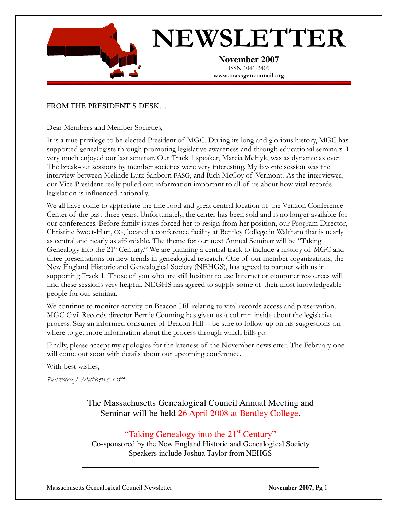

# NEWSLETTER

**November 2007** ISSN 1041-2409 www.massgencouncil.org

### FROM THE PRESIDENT'S DESK…

Dear Members and Member Societies,

It is a true privilege to be elected President of MGC. During its long and glorious history, MGC has supported genealogists through promoting legislative awareness and through educational seminars. I very much enjoyed our last seminar. Our Track 1 speaker, Marcia Melnyk, was as dynamic as ever. The break-out sessions by member societies were very interesting. My favorite session was the interview between Melinde Lutz Sanborn FASG, and Rich McCoy of Vermont. As the interviewer, our Vice President really pulled out information important to all of us about how vital records legislation is influenced nationally.

We all have come to appreciate the fine food and great central location of the Verizon Conference Center of the past three years. Unfortunately, the center has been sold and is no longer available for our conferences. Before family issues forced her to resign from her position, our Program Director, Christine Sweet-Hart, CG, located a conference facility at Bentley College in Waltham that is nearly as central and nearly as affordable. The theme for our next Annual Seminar will be "Taking Genealogy into the 21<sup>st</sup> Century." We are planning a central track to include a history of MGC and three presentations on new trends in genealogical research. One of our member organizations, the New England Historic and Genealogical Society (NEHGS), has agreed to partner with us in supporting Track 1. Those of you who are still hesitant to use Internet or computer resources will find these sessions very helpful. NEGHS has agreed to supply some of their most knowledgeable people for our seminar.

We continue to monitor activity on Beacon Hill relating to vital records access and preservation. MGC Civil Records director Bernie Couming has given us a column inside about the legislative process. Stay an informed consumer of Beacon Hill -- be sure to follow-up on his suggestions on where to get more information about the process through which bills go.

Finally, please accept my apologies for the lateness of the November newsletter. The February one will come out soon with details about our upcoming conference.

With best wishes,

Barbara J. Mathews, CGSM

The Massachusetts Genealogical Council Annual Meeting and Seminar will be held 26 April 2008 at Bentley College.

## "Taking Genealogy into the 21<sup>st</sup> Century"

Co-sponsored by the New England Historic and Genealogical Society Speakers include Joshua Taylor from NEHGS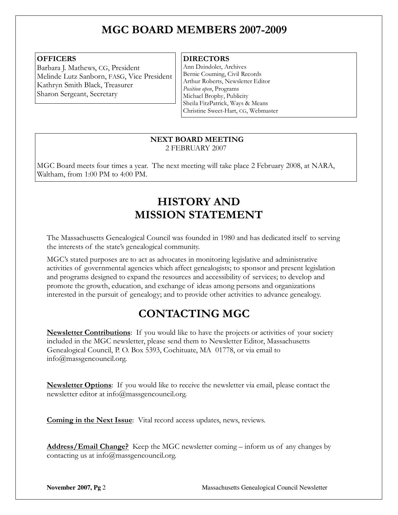# MGC BOARD MEMBERS 2007-2009

#### **OFFICERS**

Barbara J. Mathews, CG, President Melinde Lutz Sanborn, FASG, Vice President Kathryn Smith Black, Treasurer Sharon Sergeant, Secretary

#### **DIRECTORS**

Ann Dzindolet, Archives Bernie Couming, Civil Records Arthur Roberts, Newsletter Editor Position open, Programs Michael Brophy, Publicity Sheila FitzPatrick, Ways & Means Christine Sweet-Hart, CG, Webmaster

 $\overline{a}$ 

#### NEXT BOARD MEETING 2 FEBRUARY 2007

MGC Board meets four times a year. The next meeting will take place 2 February 2008, at NARA, Waltham, from 1:00 PM to 4:00 PM.

# HISTORY AND MISSION STATEMENT

The Massachusetts Genealogical Council was founded in 1980 and has dedicated itself to serving the interests of the state's genealogical community.

MGC's stated purposes are to act as advocates in monitoring legislative and administrative activities of governmental agencies which affect genealogists; to sponsor and present legislation and programs designed to expand the resources and accessibility of services; to develop and promote the growth, education, and exchange of ideas among persons and organizations interested in the pursuit of genealogy; and to provide other activities to advance genealogy.

# CONTACTING MGC

**Newsletter Contributions**: If you would like to have the projects or activities of your society included in the MGC newsletter, please send them to Newsletter Editor, Massachusetts Genealogical Council, P. O. Box 5393, Cochituate, MA 01778, or via email to info@massgencouncil.org.

**Newsletter Options**: If you would like to receive the newsletter via email, please contact the newsletter editor at info@massgencouncil.org.

Coming in the Next Issue: Vital record access updates, news, reviews.

Address/Email Change? Keep the MGC newsletter coming - inform us of any changes by contacting us at info@massgencouncil.org.

**November 2007, Pg 2** Massachusetts Genealogical Council Newsletter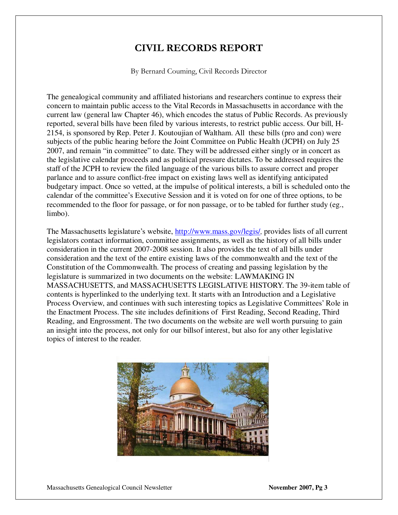## CIVIL RECORDS REPORT

By Bernard Couming, Civil Records Director

The genealogical community and affiliated historians and researchers continue to express their concern to maintain public access to the Vital Records in Massachusetts in accordance with the current law (general law Chapter 46), which encodes the status of Public Records. As previously reported, several bills have been filed by various interests, to restrict public access. Our bill, H-2154, is sponsored by Rep. Peter J. Koutoujian of Waltham. All these bills (pro and con) were subjects of the public hearing before the Joint Committee on Public Health (JCPH) on July 25 2007, and remain "in committee" to date. They will be addressed either singly or in concert as the legislative calendar proceeds and as political pressure dictates. To be addressed requires the staff of the JCPH to review the filed language of the various bills to assure correct and proper parlance and to assure conflict-free impact on existing laws well as identifying anticipated budgetary impact. Once so vetted, at the impulse of political interests, a bill is scheduled onto the calendar of the committee's Executive Session and it is voted on for one of three options, to be recommended to the floor for passage, or for non passage, or to be tabled for further study (eg., limbo).

The Massachusetts legislature's website, http://www.mass.gov/legis/, provides lists of all current legislators contact information, committee assignments, as well as the history of all bills under consideration in the current 2007-2008 session. It also provides the text of all bills under consideration and the text of the entire existing laws of the commonwealth and the text of the Constitution of the Commonwealth. The process of creating and passing legislation by the legislature is summarized in two documents on the website: LAWMAKING IN MASSACHUSETTS, and MASSACHUSETTS LEGISLATIVE HISTORY. The 39-item table of contents is hyperlinked to the underlying text. It starts with an Introduction and a Legislative Process Overview, and continues with such interesting topics as Legislative Committees' Role in the Enactment Process. The site includes definitions of First Reading, Second Reading, Third Reading, and Engrossment. The two documents on the website are well worth pursuing to gain an insight into the process, not only for our billsof interest, but also for any other legislative topics of interest to the reader.

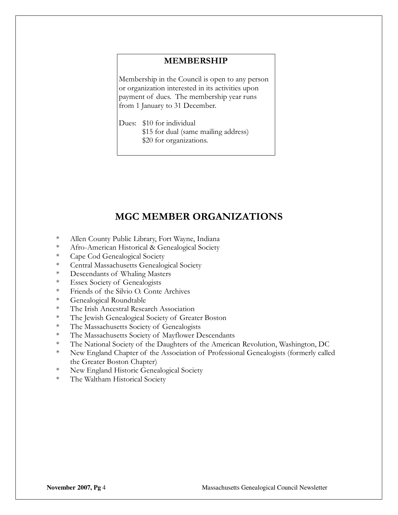#### MEMBERSHIP

Membership in the Council is open to any person or organization interested in its activities upon payment of dues. The membership year runs from 1 January to 31 December.

Dues: \$10 for individual \$15 for dual (same mailing address) \$20 for organizations.

## MGC MEMBER ORGANIZATIONS

- \* Allen County Public Library, Fort Wayne, Indiana
- \* Afro-American Historical & Genealogical Society
- \* Cape Cod Genealogical Society
- \* Central Massachusetts Genealogical Society
- \* Descendants of Whaling Masters
- \* Essex Society of Genealogists
- \* Friends of the Silvio O. Conte Archives
- \* Genealogical Roundtable
- \* The Irish Ancestral Research Association
- \* The Jewish Genealogical Society of Greater Boston
- \* The Massachusetts Society of Genealogists
- \* The Massachusetts Society of Mayflower Descendants
- \* The National Society of the Daughters of the American Revolution, Washington, DC
- \* New England Chapter of the Association of Professional Genealogists (formerly called the Greater Boston Chapter)
- \* New England Historic Genealogical Society
- \* The Waltham Historical Society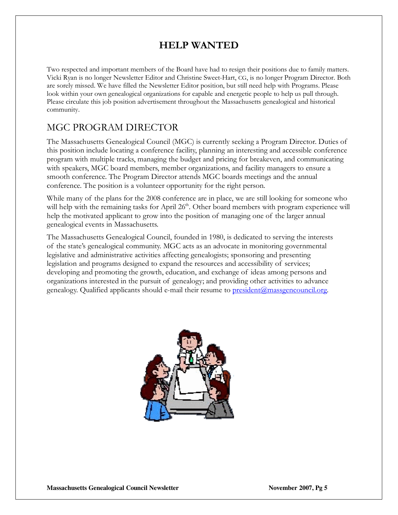## HELP WANTED

Two respected and important members of the Board have had to resign their positions due to family matters. Vicki Ryan is no longer Newsletter Editor and Christine Sweet-Hart, CG, is no longer Program Director. Both are sorely missed. We have filled the Newsletter Editor position, but still need help with Programs. Please look within your own genealogical organizations for capable and energetic people to help us pull through. Please circulate this job position advertisement throughout the Massachusetts genealogical and historical community.

## MGC PROGRAM DIRECTOR

The Massachusetts Genealogical Council (MGC) is currently seeking a Program Director. Duties of this position include locating a conference facility, planning an interesting and accessible conference program with multiple tracks, managing the budget and pricing for breakeven, and communicating with speakers, MGC board members, member organizations, and facility managers to ensure a smooth conference. The Program Director attends MGC boards meetings and the annual conference. The position is a volunteer opportunity for the right person.

While many of the plans for the 2008 conference are in place, we are still looking for someone who will help with the remaining tasks for April  $26<sup>th</sup>$ . Other board members with program experience will help the motivated applicant to grow into the position of managing one of the larger annual genealogical events in Massachusetts.

The Massachusetts Genealogical Council, founded in 1980, is dedicated to serving the interests of the state's genealogical community. MGC acts as an advocate in monitoring governmental legislative and administrative activities affecting genealogists; sponsoring and presenting legislation and programs designed to expand the resources and accessibility of services; developing and promoting the growth, education, and exchange of ideas among persons and organizations interested in the pursuit of genealogy; and providing other activities to advance genealogy. Qualified applicants should e-mail their resume to president@massgencouncil.org.

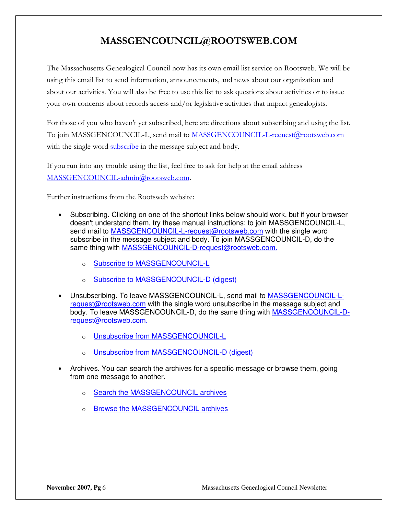## MASSGENCOUNCIL@ROOTSWEB.COM

The Massachusetts Genealogical Council now has its own email list service on Rootsweb. We will be using this email list to send information, announcements, and news about our organization and about our activities. You will also be free to use this list to ask questions about activities or to issue your own concerns about records access and/or legislative activities that impact genealogists.

For those of you who haven't yet subscribed, here are directions about subscribing and using the list. To join MASSGENCOUNCIL-L, send mail to MASSGENCOUNCIL-L-request@rootsweb.com with the single word subscribe in the message subject and body.

If you run into any trouble using the list, feel free to ask for help at the email address MASSGENCOUNCIL-admin@rootsweb.com.

Further instructions from the Rootsweb website:

- Subscribing. Clicking on one of the shortcut links below should work, but if your browser doesn't understand them, try these manual instructions: to join MASSGENCOUNCIL-L, send mail to MASSGENCOUNCIL-L-request@rootsweb.com with the single word subscribe in the message subject and body. To join MASSGENCOUNCIL-D, do the same thing with MASSGENCOUNCIL-D-request@rootsweb.com.
	- o Subscribe to MASSGENCOUNCIL-L
	- Subscribe to MASSGENCOUNCIL-D (digest)
- Unsubscribing. To leave MASSGENCOUNCIL-L, send mail to MASSGENCOUNCIL-Lrequest@rootsweb.com with the single word unsubscribe in the message subject and body. To leave MASSGENCOUNCIL-D, do the same thing with MASSGENCOUNCIL-Drequest@rootsweb.com.
	- o Unsubscribe from MASSGENCOUNCIL-L
	- o Unsubscribe from MASSGENCOUNCIL-D (digest)
- Archives. You can search the archives for a specific message or browse them, going from one message to another.
	- o Search the MASSGENCOUNCIL archives
	- o Browse the MASSGENCOUNCIL archives